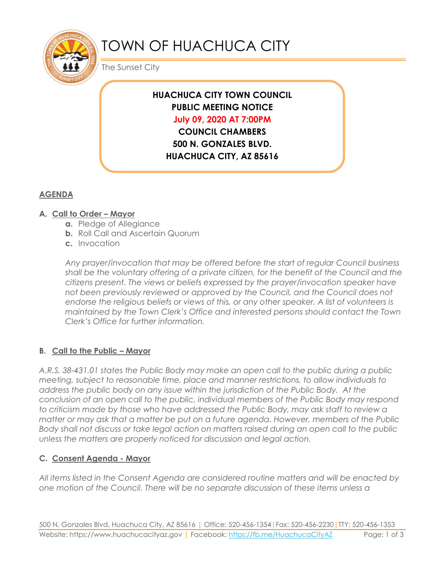

# TOWN OF HUACHUCA CITY

The Sunset City

## **HUACHUCA CITY TOWN COUNCIL PUBLIC MEETING NOTICE July 09, 2020 AT 7:00PM**

**COUNCIL CHAMBERS 500 N. GONZALES BLVD. HUACHUCA CITY, AZ 85616**

## **AGENDA**

### **A. Call to Order – Mayor**

- **a.** Pledge of Allegiance
- **b.** Roll Call and Ascertain Quorum
- **c.** Invocation

*Any prayer/invocation that may be offered before the start of regular Council business shall be the voluntary offering of a private citizen, for the benefit of the Council and the citizens present. The views or beliefs expressed by the prayer/invocation speaker have not been previously reviewed or approved by the Council, and the Council does not endorse the religious beliefs or views of this, or any other speaker. A list of volunteers is maintained by the Town Clerk's Office and interested persons should contact the Town Clerk's Office for further information.*

#### **B. Call to the Public – Mayor**

*A.R.S. 38-431.01 states the Public Body may make an open call to the public during a public meeting, subject to reasonable time, place and manner restrictions, to allow individuals to address the public body on any issue within the jurisdiction of the Public Body. At the conclusion of an open call to the public, individual members of the Public Body may respond to criticism made by those who have addressed the Public Body, may ask staff to review a matter or may ask that a matter be put on a future agenda. However, members of the Public Body shall not discuss or take legal action on matters raised during an open call to the public unless the matters are properly noticed for discussion and legal action.*

#### **C. Consent Agenda - Mayor**

*All items listed in the Consent Agenda are considered routine matters and will be enacted by one motion of the Council. There will be no separate discussion of these items unless a*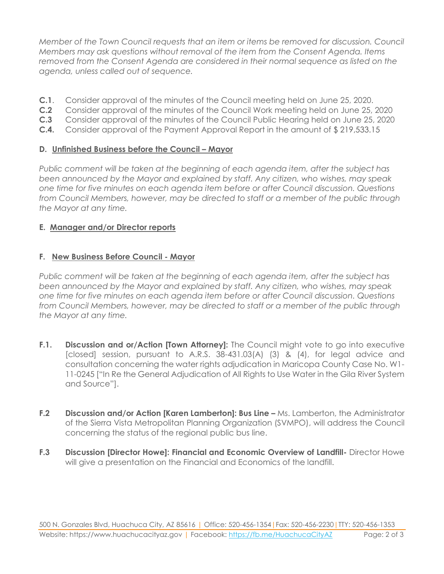*Member of the Town Council requests that an item or items be removed for discussion. Council Members may ask questions without removal of the item from the Consent Agenda. Items removed from the Consent Agenda are considered in their normal sequence as listed on the agenda, unless called out of sequence.*

- **C.1**. Consider approval of the minutes of the Council meeting held on June 25, 2020.
- **C.2** Consider approval of the minutes of the Council Work meeting held on June 25, 2020
- **C.3** Consider approval of the minutes of the Council Public Hearing held on June 25, 2020
- **C.4.** Consider approval of the Payment Approval Report in the amount of \$ 219,533.15

#### **D.** Unfinished Business before the Council – Mayor

*Public comment will be taken at the beginning of each agenda item, after the subject has been announced by the Mayor and explained by staff. Any citizen, who wishes, may speak one time for five minutes on each agenda item before or after Council discussion. Questions from Council Members, however, may be directed to staff or a member of the public through the Mayor at any time.*

#### **E. Manager and/or Director reports**

#### **F. New Business Before Council - Mayor**

*Public comment will be taken at the beginning of each agenda item, after the subject has been announced by the Mayor and explained by staff. Any citizen, who wishes, may speak one time for five minutes on each agenda item before or after Council discussion. Questions from Council Members, however, may be directed to staff or a member of the public through the Mayor at any time.* 

- **F.1. Discussion and or/Action [Town Attorney]:** The Council might vote to go into executive [closed] session, pursuant to A.R.S. 38-431.03(A) (3) & (4), for legal advice and consultation concerning the water rights adjudication in Maricopa County Case No. W1- 11-0245 ["In Re the General Adjudication of All Rights to Use Water in the Gila River System and Source"].
- **F.2 Discussion and/or Action [Karen Lamberton]: Bus Line –** Ms. Lamberton, the Administrator of the Sierra Vista Metropolitan Planning Organization (SVMPO), will address the Council concerning the status of the regional public bus line.
- **F.3 Discussion [Director Howe]: Financial and Economic Overview of Landfill-** Director Howe will give a presentation on the Financial and Economics of the landfill.